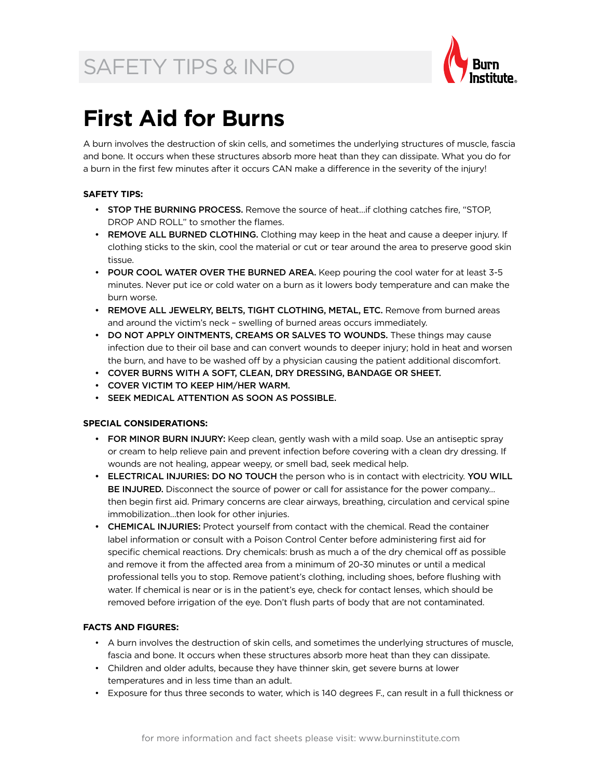## SAFETY TIPS & INFO



### **First Aid for Burns**

A burn involves the destruction of skin cells, and sometimes the underlying structures of muscle, fascia and bone. It occurs when these structures absorb more heat than they can dissipate. What you do for a burn in the first few minutes after it occurs CAN make a difference in the severity of the injury!

#### **Safety Tips:**

- STOP THE BURNING PROCESS. Remove the source of heat...if clothing catches fire, "STOP, DROP AND ROLL" to smother the flames.
- REMOVE ALL BURNED CLOTHING. Clothing may keep in the heat and cause a deeper injury. If clothing sticks to the skin, cool the material or cut or tear around the area to preserve good skin tissue.
- POUR COOL WATER OVER THE BURNED AREA. Keep pouring the cool water for at least 3-5 minutes. Never put ice or cold water on a burn as it lowers body temperature and can make the burn worse.
- REMOVE ALL JEWELRY, BELTS, TIGHT CLOTHING, METAL, ETC. Remove from burned areas and around the victim's neck – swelling of burned areas occurs immediately.
- DO NOT APPLY OINTMENTS, CREAMS OR SALVES TO WOUNDS. These things may cause infection due to their oil base and can convert wounds to deeper injury; hold in heat and worsen the burn, and have to be washed off by a physician causing the patient additional discomfort.
- • COVER BURNS WITH A SOFT, CLEAN, DRY DRESSING, BANDAGE OR SHEET.
- • COVER VICTIM TO KEEP HIM/HER WARM.
- • SEEK MEDICAL ATTENTION AS SOON AS POSSIBLE.

#### **Special considerations:**

- FOR MINOR BURN INJURY: Keep clean, gently wash with a mild soap. Use an antiseptic spray or cream to help relieve pain and prevent infection before covering with a clean dry dressing. If wounds are not healing, appear weepy, or smell bad, seek medical help.
- ELECTRICAL INJURIES: DO NO TOUCH the person who is in contact with electricity. YOU WILL BE INJURED. Disconnect the source of power or call for assistance for the power company... then begin first aid. Primary concerns are clear airways, breathing, circulation and cervical spine immobilization…then look for other injuries.
- **CHEMICAL INJURIES:** Protect yourself from contact with the chemical. Read the container label information or consult with a Poison Control Center before administering first aid for specific chemical reactions. Dry chemicals: brush as much a of the dry chemical off as possible and remove it from the affected area from a minimum of 20-30 minutes or until a medical professional tells you to stop. Remove patient's clothing, including shoes, before flushing with water. If chemical is near or is in the patient's eye, check for contact lenses, which should be removed before irrigation of the eye. Don't flush parts of body that are not contaminated.

#### **Facts and Figures:**

- • A burn involves the destruction of skin cells, and sometimes the underlying structures of muscle, fascia and bone. It occurs when these structures absorb more heat than they can dissipate.
- • Children and older adults, because they have thinner skin, get severe burns at lower temperatures and in less time than an adult.
- • Exposure for thus three seconds to water, which is 140 degrees F., can result in a full thickness or